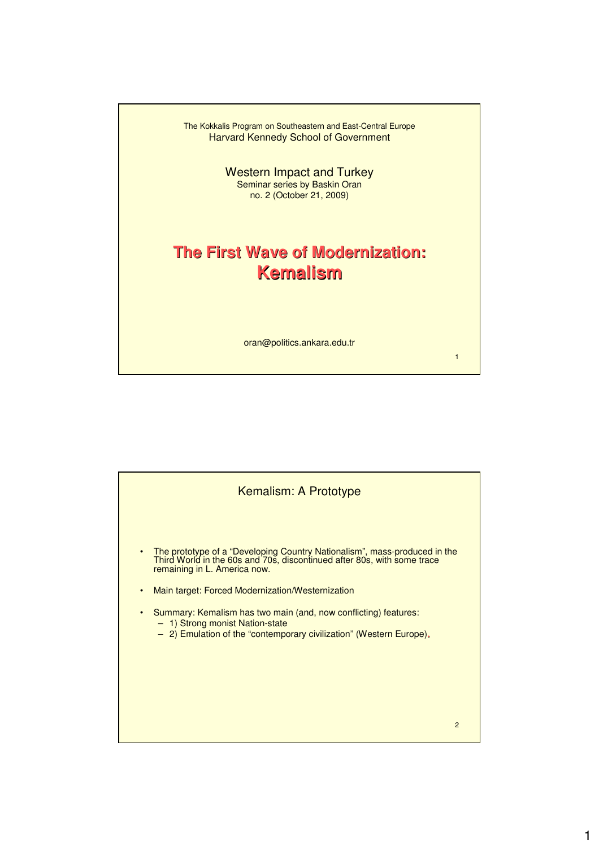

Western Impact and Turkey Seminar series by Baskin Oran no. 2 (October 21, 2009)

## **The First Wave of Modernization: Kemalism**

oran@politics.ankara.edu.tr

1

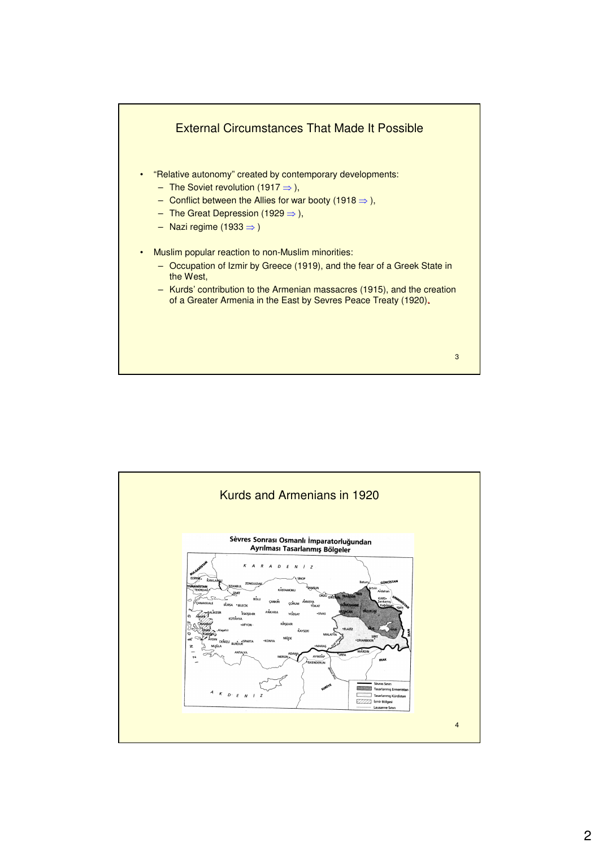

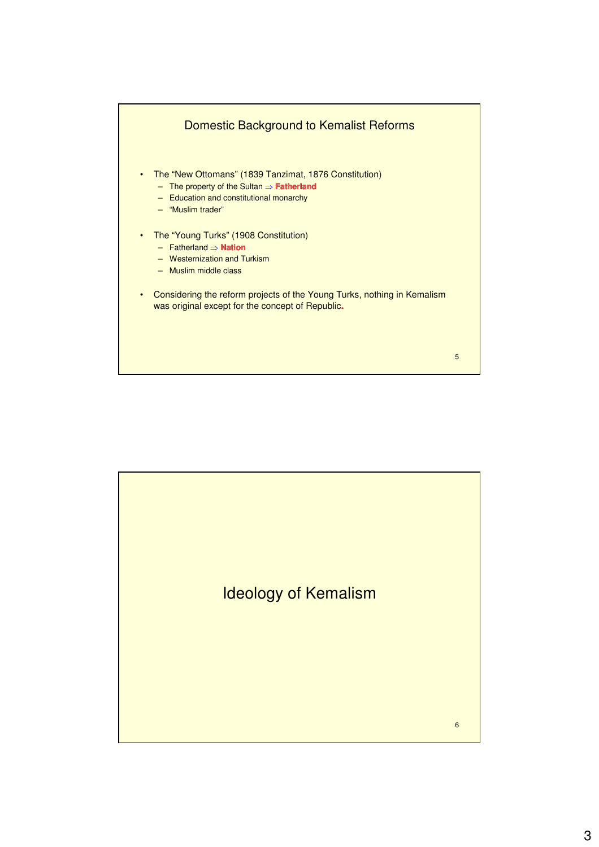

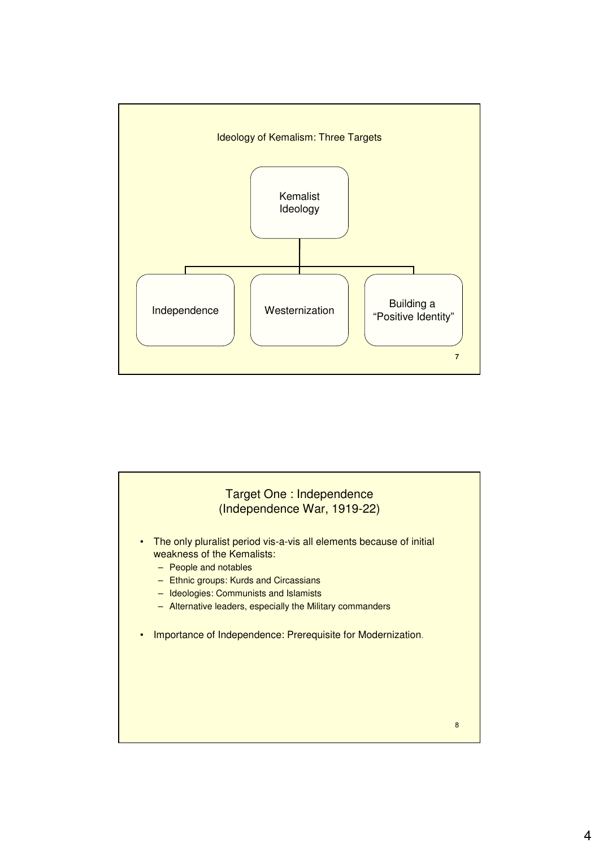

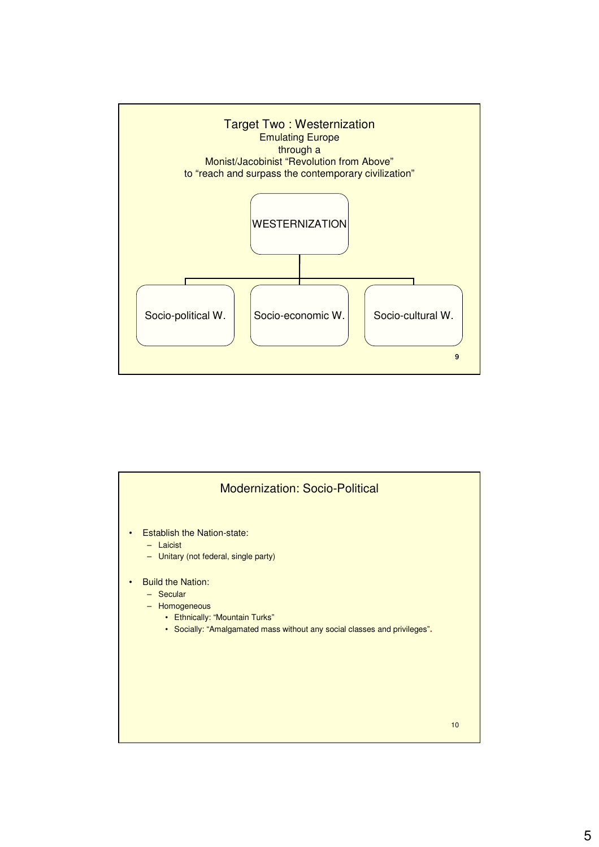

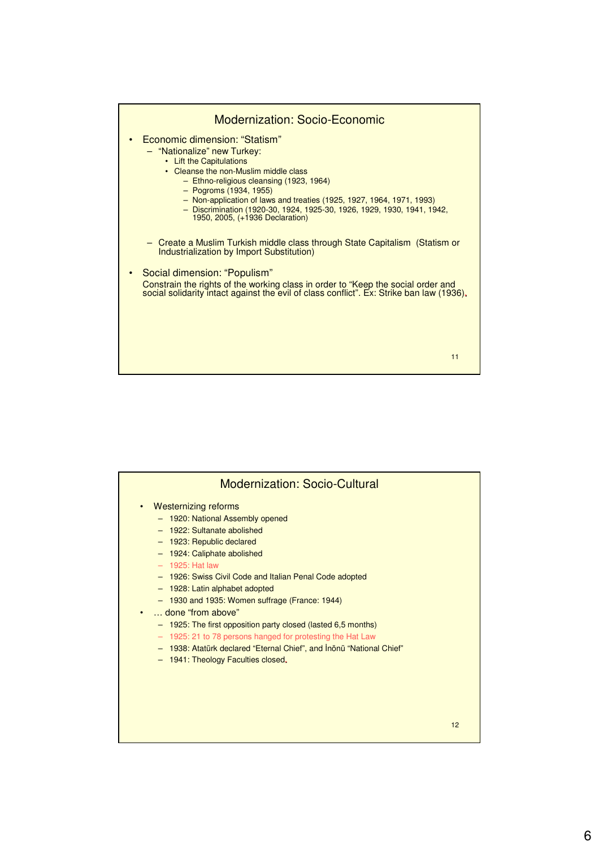

| <b>Modernization: Socio-Cultural</b>                                                                                                                                                                                                                                                                                                                                                                                                                                                                                                                                                             |    |
|--------------------------------------------------------------------------------------------------------------------------------------------------------------------------------------------------------------------------------------------------------------------------------------------------------------------------------------------------------------------------------------------------------------------------------------------------------------------------------------------------------------------------------------------------------------------------------------------------|----|
| <b>Westernizing reforms</b><br>- 1920: National Assembly opened<br>- 1922: Sultanate abolished<br>- 1923: Republic declared<br>- 1924: Caliphate abolished<br>$-$ 1925: Hat law<br>- 1926: Swiss Civil Code and Italian Penal Code adopted<br>- 1928: Latin alphabet adopted<br>- 1930 and 1935: Women suffrage (France: 1944)<br>done "from above"<br>- 1925: The first opposition party closed (lasted 6,5 months)<br>- 1925: 21 to 78 persons hanged for protesting the Hat Law<br>- 1938: Atatürk declared "Eternal Chief", and Inönü "National Chief"<br>- 1941: Theology Faculties closed. |    |
|                                                                                                                                                                                                                                                                                                                                                                                                                                                                                                                                                                                                  | 12 |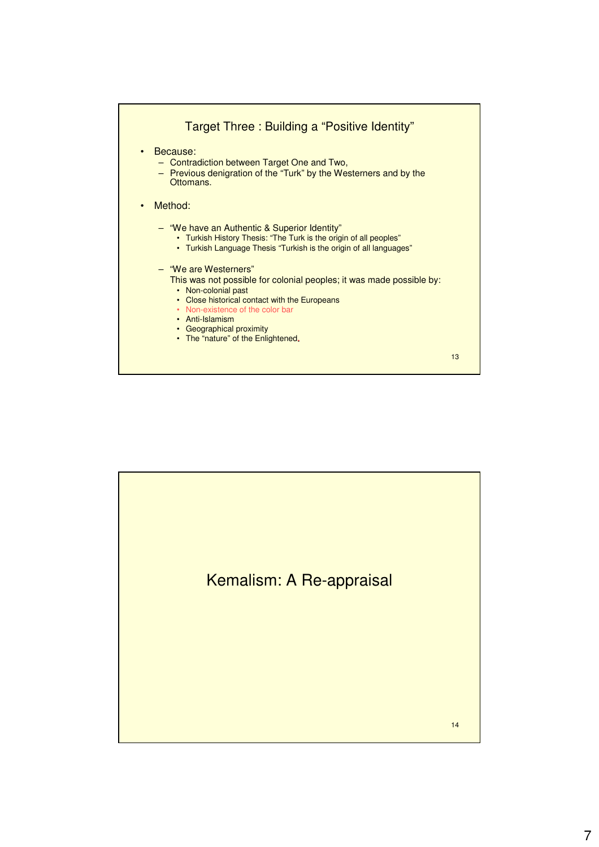

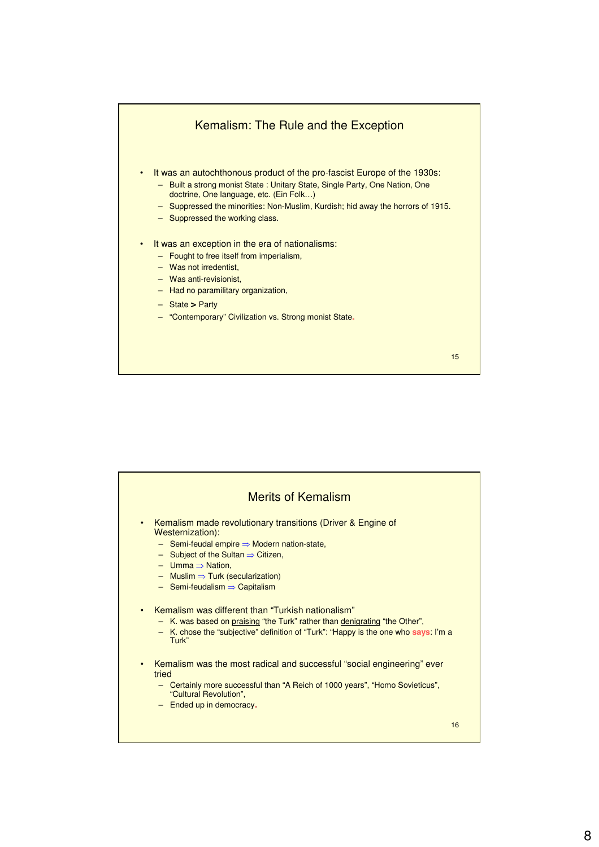

| <b>Merits of Kemalism</b>                                                                                                                                                                                                                                                                                                                                                                                       |
|-----------------------------------------------------------------------------------------------------------------------------------------------------------------------------------------------------------------------------------------------------------------------------------------------------------------------------------------------------------------------------------------------------------------|
| Kemalism made revolutionary transitions (Driver & Engine of<br>$\bullet$<br>Westernization):<br>$\overline{\phantom{a}}$ Semi-feudal empire $\Rightarrow$ Modern nation-state,<br>$\overline{\phantom{a}}$ Subject of the Sultan $\Rightarrow$ Citizen,<br>$-$ Umma $\Rightarrow$ Nation.<br>$-$ Muslim $\Rightarrow$ Turk (secularization)<br>$\overline{\phantom{0}}$ Semi-feudalism $\Rightarrow$ Capitalism |
| Kemalism was different than "Turkish nationalism"<br>$\bullet$<br>- K. was based on praising "the Turk" rather than denigrating "the Other",<br>- K. chose the "subjective" definition of "Turk": "Happy is the one who says: I'm a<br>Turk"                                                                                                                                                                    |
| Kemalism was the most radical and successful "social engineering" ever<br>$\bullet$<br>tried<br>- Certainly more successful than "A Reich of 1000 years", "Homo Sovieticus",<br>"Cultural Revolution",<br>$-$ Ended up in democracy.                                                                                                                                                                            |
| 16                                                                                                                                                                                                                                                                                                                                                                                                              |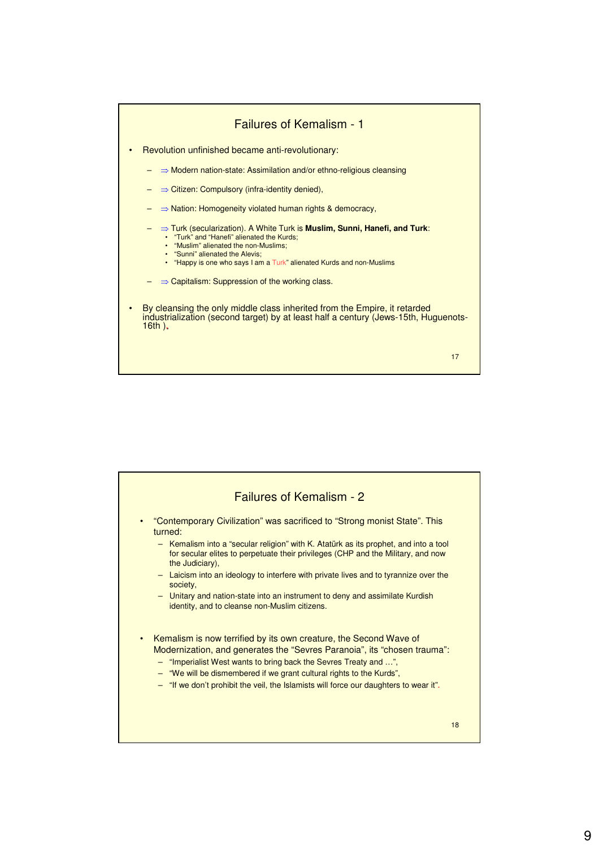

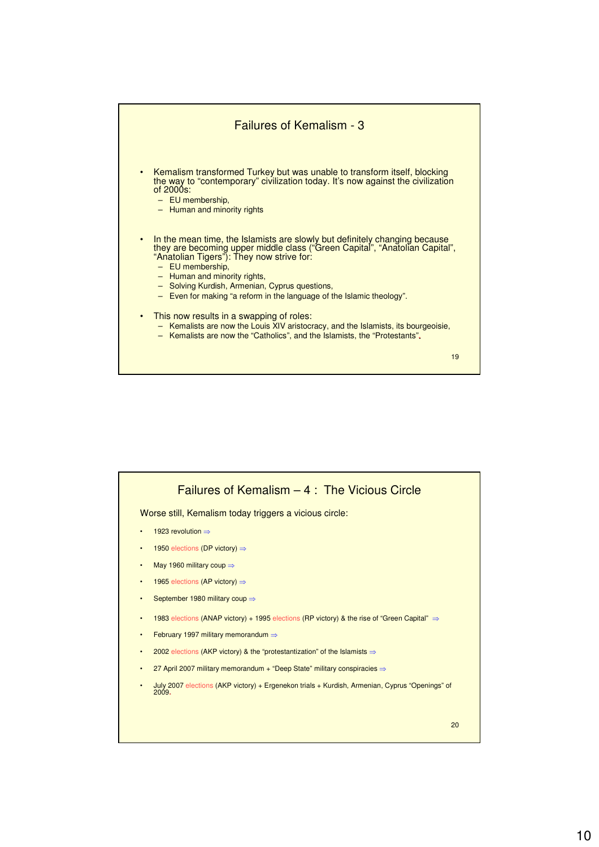

19

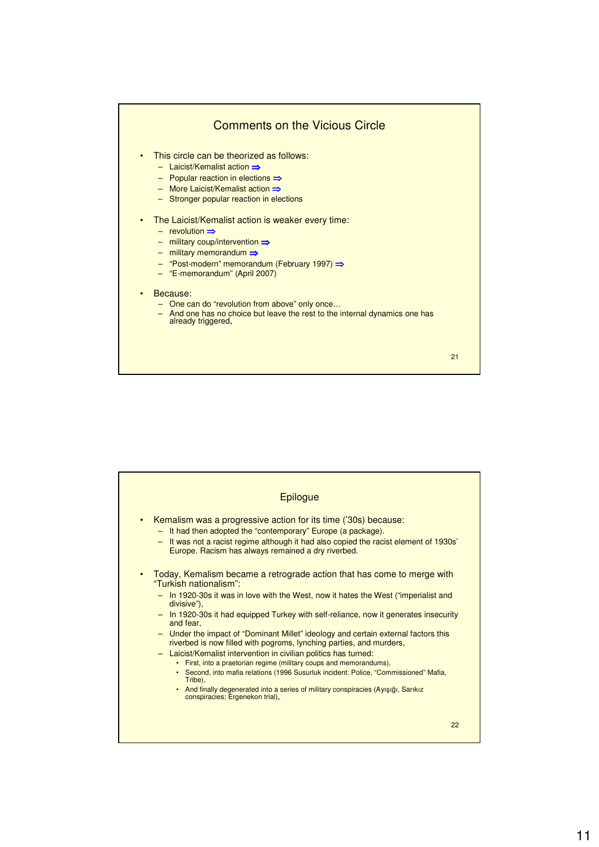

| <b>Epilogue</b>                                                                                                                                                                                                                                                                                                                                                                                                                                                                                                                                                                                                                                                                                                                                                                                                                                                                                      |    |
|------------------------------------------------------------------------------------------------------------------------------------------------------------------------------------------------------------------------------------------------------------------------------------------------------------------------------------------------------------------------------------------------------------------------------------------------------------------------------------------------------------------------------------------------------------------------------------------------------------------------------------------------------------------------------------------------------------------------------------------------------------------------------------------------------------------------------------------------------------------------------------------------------|----|
| Kemalism was a progressive action for its time ('30s) because:<br>$\bullet$<br>It had then adopted the "contemporary" Europe (a package).<br>$-$<br>It was not a racist regime although it had also copied the racist element of 1930s'<br>$-$<br>Europe. Racism has always remained a dry riverbed.                                                                                                                                                                                                                                                                                                                                                                                                                                                                                                                                                                                                 |    |
| Today, Kemalism became a retrograde action that has come to merge with<br>$\bullet$<br>"Turkish nationalism":<br>In 1920-30s it was in love with the West, now it hates the West ("imperialist and<br>$\qquad \qquad -$<br>divisive"),<br>In 1920-30s it had equipped Turkey with self-reliance, now it generates insecurity<br>$\frac{1}{2}$<br>and fear.<br>- Under the impact of "Dominant Millet" ideology and certain external factors this<br>riverbed is now filled with pogroms, lynching parties, and murders,<br>Laicist/Kemalist intervention in civilian politics has turned:<br>$-$<br>• First, into a praetorian regime (military coups and memorandums),<br>• Second, into mafia relations (1996 Susurluk incident: Police, "Commissioned" Mafia,<br>Tribe).<br>• And finally degenerated into a series of military conspiracies (Ayışığı, Sarıkız<br>conspiracies; Ergenekon trial). |    |
|                                                                                                                                                                                                                                                                                                                                                                                                                                                                                                                                                                                                                                                                                                                                                                                                                                                                                                      | 22 |